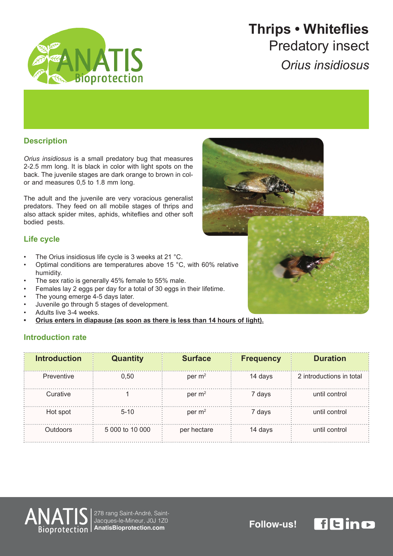

## **Whiteflies • Thrips Predatory insect** *insidiosus Orius*

### **Description**

Orius insidiosus is a small predatory bug that measures 2-2.5 mm long. It is black in color with light spots on the back. The juvenile stages are dark orange to brown in col-<br>or and measures 0,5 to 1.8 mm long.

The adult and the juvenile are very voracious generalist predators. They feed on all mobile stages of thrips and also attack spider mites, aphids, whiteflies and other soft bodied pests.

### **Life cycle**

- The Orius insidiosus life cycle is 3 weeks at 21 °C.
- Optimal conditions are temperatures above 15 °C, with 60% relative humidity.
- The sex ratio is generally 45% female to 55% male.
- Females lay 2 eggs per day for a total of 30 eggs in their lifetime.
- The young emerge 4-5 days later.
- Juvenile go through 5 stages of development.
- Adults live 3-4 weeks.
- Orius enters in diapause (as soon as there is less than 14 hours of light).

#### **Introduction rate**

| <b>Introduction</b> | <b>Quantity</b> | <b>Surface</b> | <b>Frequency</b> | <b>Duration</b>          |
|---------------------|-----------------|----------------|------------------|--------------------------|
| Preventive          | 0.50            | per $m2$       | 14 days          | 2 introductions in total |
| Curative            |                 | per $m2$       | 7 days           | until control            |
| Hot spot            | $5 - 10$        | per $m2$       | 7 days           | until control            |
| <b>Outdoors</b>     | 5 000 to 10 000 | per hectare    | 14 days          | until control            |